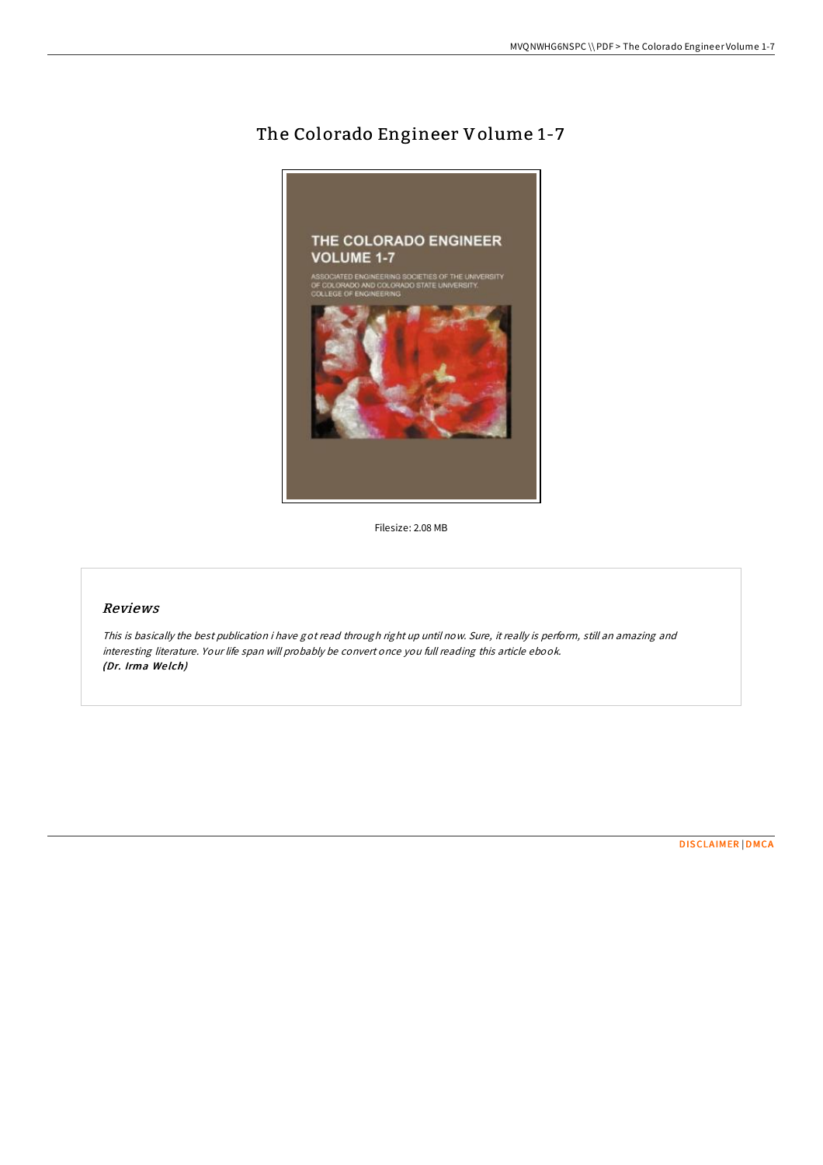## The Colorado Engineer Volume 1-7



Filesize: 2.08 MB

## Reviews

This is basically the best publication i have got read through right up until now. Sure, it really is perform, still an amazing and interesting literature. Your life span will probably be convert once you full reading this article ebook. (Dr. Irma We lch)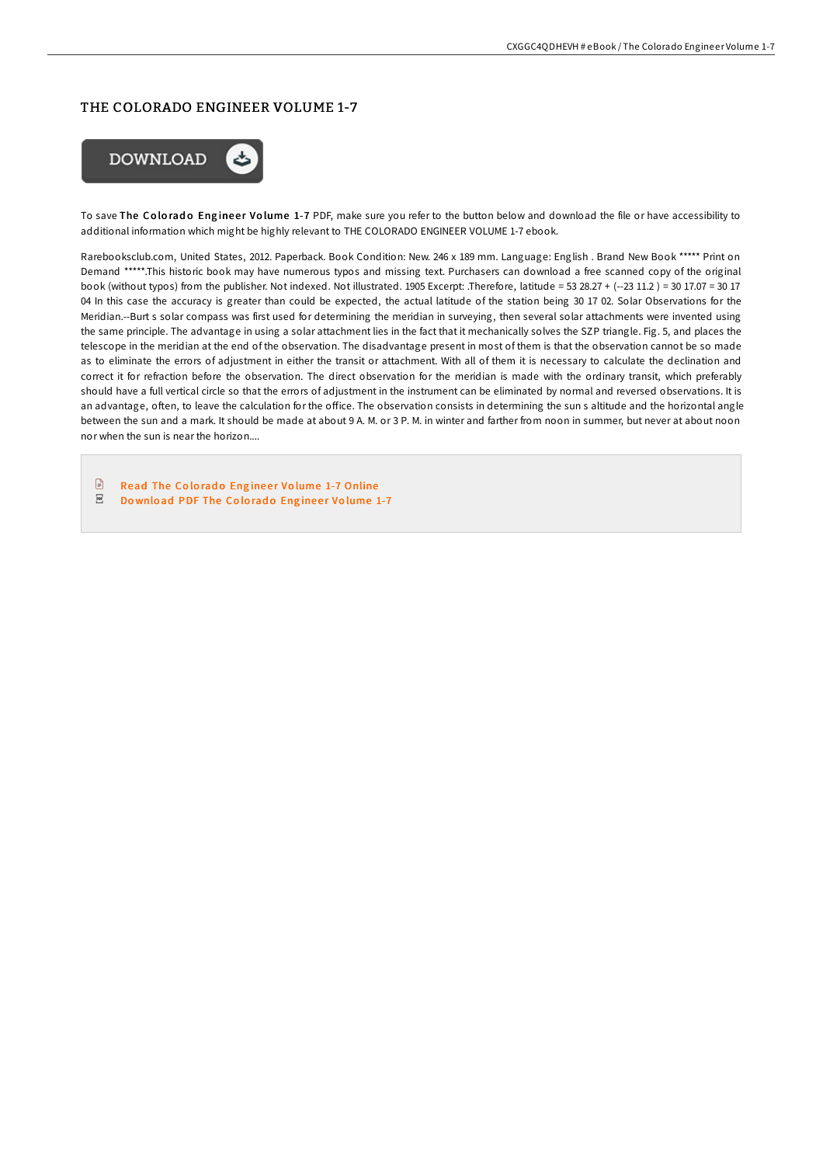## THE COLORADO ENGINEER VOLUME 1-7



To save The Colorado Engineer Volume 1-7 PDF, make sure you refer to the button below and download the file or have accessibility to additional information which might be highly relevant to THE COLORADO ENGINEER VOLUME 1-7 ebook.

Rarebooksclub.com, United States, 2012. Paperback. Book Condition: New. 246 x 189 mm. Language: English . Brand New Book \*\*\*\*\* Print on Demand \*\*\*\*\*.This historic book may have numerous typos and missing text. Purchasers can download a free scanned copy of the original book (without typos) from the publisher. Not indexed. Not illustrated. 1905 Excerpt: .Therefore, latitude = 53 28.27 + (--23 11.2 ) = 30 17.07 = 30 17 04 In this case the accuracy is greater than could be expected, the actual latitude of the station being 30 17 02. Solar Observations for the Meridian.--Burt s solar compass was first used for determining the meridian in surveying, then several solar attachments were invented using the same principle. The advantage in using a solar attachment lies in the fact that it mechanically solves the SZP triangle. Fig. 5, and places the telescope in the meridian at the end of the observation. The disadvantage present in most of them is that the observation cannot be so made as to eliminate the errors of adjustment in either the transit or attachment. With all of them it is necessary to calculate the declination and correct it for refraction before the observation. The direct observation for the meridian is made with the ordinary transit, which preferably should have a full vertical circle so that the errors of adjustment in the instrument can be eliminated by normal and reversed observations. It is an advantage, often, to leave the calculation for the office. The observation consists in determining the sun s altitude and the horizontal angle between the sun and a mark. It should be made at about 9 A. M. or 3 P. M. in winter and farther from noon in summer, but never at about noon nor when the sun is near the horizon....

 $\Box$ Read The Colorado Engineer Volume 1-7 [Online](http://almighty24.tech/the-colorado-engineer-volume-1-7-paperback.html)

 $_{\rm PDF}$ Download PDF The Colorado Engineer Vo[lume](http://almighty24.tech/the-colorado-engineer-volume-1-7-paperback.html) 1-7